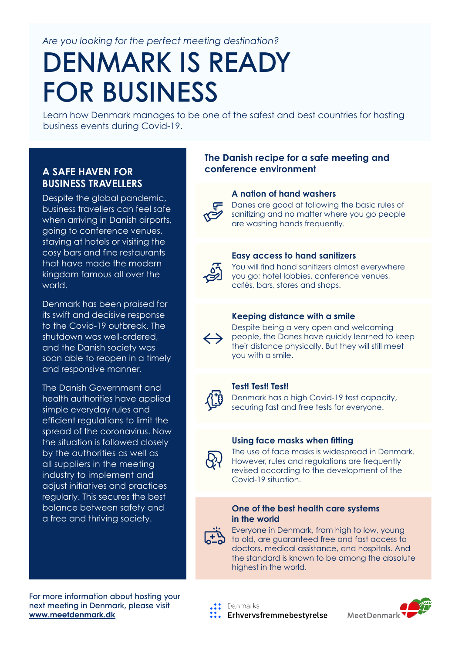*Are you looking for the perfect meeting destination?*

# DENMARK IS READY FOR BUSINESS

Learn how Denmark manages to be one of the safest and best countries for hosting business events during Covid-19.

### **BUSINESS TRAVELLERS**

Despite the global pandemic, business travellers can feel safe when arriving in Danish airports, going to conference venues, staying at hotels or visiting the cosy bars and fine restaurants that have made the modern kingdom famous all over the world.

Denmark has been praised for its swift and decisive response to the Covid-19 outbreak. The shutdown was well-ordered, and the Danish society was soon able to reopen in a timely and responsive manner.

The Danish Government and health authorities have applied simple everyday rules and efficient regulations to limit the spread of the coronavirus. Now the situation is followed closely by the authorities as well as all suppliers in the meeting industry to implement and adjust initiatives and practices regularly. This secures the best balance between safety and a free and thriving society.

For more information about hosting your next meeting in Denmark, please visit **[www.meetdenmark.dk](http://www.meetdenmark.dk)**

#### **The Danish recipe for a safe meeting and A SAFE HAVEN FOR conference environment**

#### **A nation of hand washers**



Danes are good at following the basic rules of sanitizing and no matter where you go people are washing hands frequently.



#### **Easy access to hand sanitizers**

You will find hand sanitizers almost everywhere you go; hotel lobbies, conference venues, cafés, bars, stores and shops.

#### **Keeping distance with a smile**



Despite being a very open and welcoming people, the Danes have quickly learned to keep their distance physically. But they will still meet you with a smile.

### **Test! Test! Test!**

Denmark has a high Covid-19 test capacity, securing fast and free tests for everyone.

#### **Using face masks when fitting**



The use of face masks is widespread in Denmark. However, rules and regulations are frequently revised according to the development of the Covid-19 situation.

#### **One of the best health care systems in the world**



Everyone in Denmark, from high to low, young to old, are guaranteed free and fast access to doctors, medical assistance, and hospitals. And the standard is known to be among the absolute highest in the world.